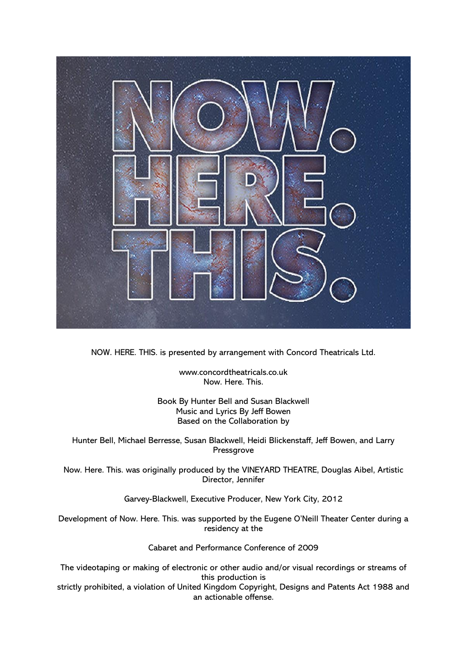

NOW. HERE. THIS. is presented by arrangement with Concord Theatricals Ltd.

www.concordtheatricals.co.uk Now. Here. This.

Book By Hunter Bell and Susan Blackwell Music and Lyrics By Jeff Bowen Based on the Collaboration by

Hunter Bell, Michael Berresse, Susan Blackwell, Heidi Blickenstaff, Jeff Bowen, and Larry Pressgrove

Now. Here. This. was originally produced by the VINEYARD THEATRE, Douglas Aibel, Artistic Director, Jennifer

Garvey-Blackwell, Executive Producer, New York City, 2012

Development of Now. Here. This. was supported by the Eugene O'Neill Theater Center during a residency at the

Cabaret and Performance Conference of 2009

The videotaping or making of electronic or other audio and/or visual recordings or streams of this production is

strictly prohibited, a violation of United Kingdom Copyright, Designs and Patents Act 1988 and an actionable offense.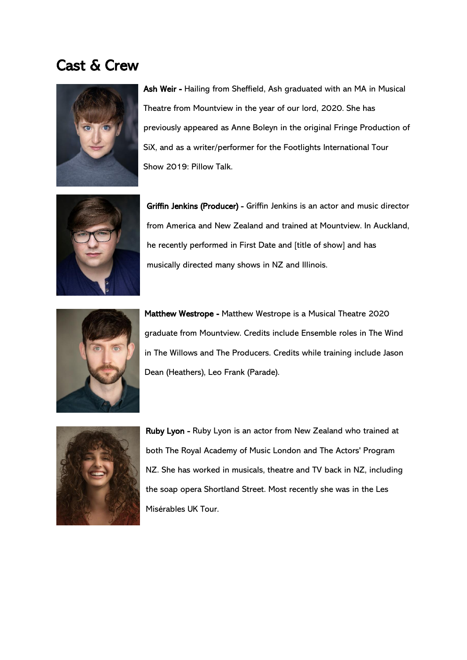## Cast & Crew



Ash Weir - Hailing from Sheffield, Ash graduated with an MA in Musical Theatre from Mountview in the year of our lord, 2020. She has previously appeared as Anne Boleyn in the original Fringe Production of SiX, and as a writer/performer for the Footlights International Tour Show 2019: Pillow Talk.



Griffin Jenkins (Producer) - Griffin Jenkins is an actor and music director from America and New Zealand and trained at Mountview. In Auckland, he recently performed in First Date and [title of show] and has musically directed many shows in NZ and Illinois.



Matthew Westrope - Matthew Westrope is a Musical Theatre 2020 graduate from Mountview. Credits include Ensemble roles in The Wind in The Willows and The Producers. Credits while training include Jason Dean (Heathers), Leo Frank (Parade).



Ruby Lyon - Ruby Lyon is an actor from New Zealand who trained at both The Royal Academy of Music London and The Actors' Program NZ. She has worked in musicals, theatre and TV back in NZ, including the soap opera Shortland Street. Most recently she was in the Les Misérables UK Tour.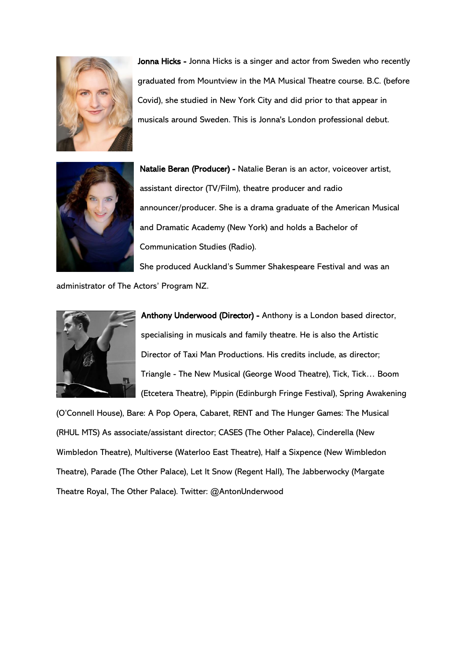

Jonna Hicks - Jonna Hicks is a singer and actor from Sweden who recently graduated from Mountview in the MA Musical Theatre course. B.C. (before Covid), she studied in New York City and did prior to that appear in musicals around Sweden. This is Jonna's London professional debut.



Natalie Beran (Producer) - Natalie Beran is an actor, voiceover artist, assistant director (TV/Film), theatre producer and radio announcer/producer. She is a drama graduate of the American Musical and Dramatic Academy (New York) and holds a Bachelor of Communication Studies (Radio).

She produced Auckland's Summer Shakespeare Festival and was an administrator of The Actors' Program NZ.



Anthony Underwood (Director) - Anthony is a London based director, specialising in musicals and family theatre. He is also the Artistic Director of Taxi Man Productions. His credits include, as director; Triangle - The New Musical (George Wood Theatre), Tick, Tick… Boom (Etcetera Theatre), Pippin (Edinburgh Fringe Festival), Spring Awakening

(O'Connell House), Bare: A Pop Opera, Cabaret, RENT and The Hunger Games: The Musical (RHUL MTS) As associate/assistant director; CASES (The Other Palace), Cinderella (New Wimbledon Theatre), Multiverse (Waterloo East Theatre), Half a Sixpence (New Wimbledon Theatre), Parade (The Other Palace), Let It Snow (Regent Hall), The Jabberwocky (Margate Theatre Royal, The Other Palace). Twitter: @AntonUnderwood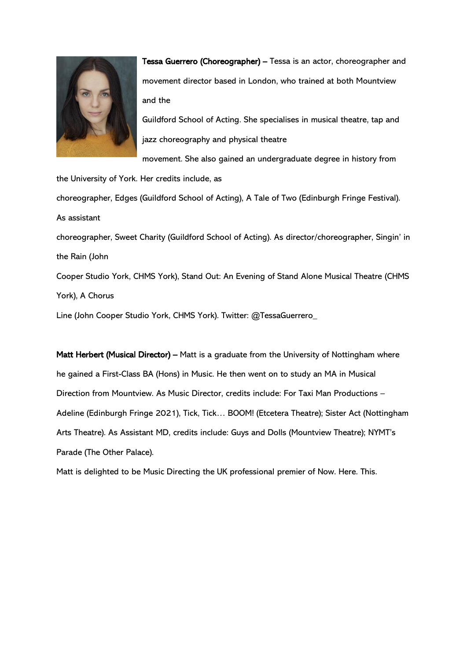

Tessa Guerrero (Choreographer) – Tessa is an actor, choreographer and movement director based in London, who trained at both Mountview and the

Guildford School of Acting. She specialises in musical theatre, tap and jazz choreography and physical theatre

movement. She also gained an undergraduate degree in history from

the University of York. Her credits include, as

choreographer, Edges (Guildford School of Acting), A Tale of Two (Edinburgh Fringe Festival). As assistant

choreographer, Sweet Charity (Guildford School of Acting). As director/choreographer, Singin' in the Rain (John

Cooper Studio York, CHMS York), Stand Out: An Evening of Stand Alone Musical Theatre (CHMS York), A Chorus

Line (John Cooper Studio York, CHMS York). Twitter: @TessaGuerrero\_

Matt Herbert (Musical Director) – Matt is a graduate from the University of Nottingham where he gained a First-Class BA (Hons) in Music. He then went on to study an MA in Musical Direction from Mountview. As Music Director, credits include: For Taxi Man Productions – Adeline (Edinburgh Fringe 2021), Tick, Tick… BOOM! (Etcetera Theatre); Sister Act (Nottingham Arts Theatre). As Assistant MD, credits include: Guys and Dolls (Mountview Theatre); NYMT's Parade (The Other Palace).

Matt is delighted to be Music Directing the UK professional premier of Now. Here. This.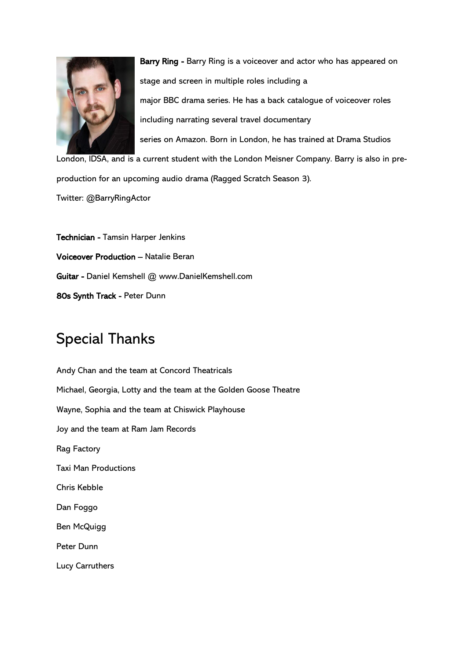

Barry Ring - Barry Ring is a voiceover and actor who has appeared on stage and screen in multiple roles including a major BBC drama series. He has a back catalogue of voiceover roles including narrating several travel documentary series on Amazon. Born in London, he has trained at Drama Studios

London, IDSA, and is a current student with the London Meisner Company. Barry is also in preproduction for an upcoming audio drama (Ragged Scratch Season 3).

Twitter: @BarryRingActor

Technician - Tamsin Harper Jenkins Voiceover Production – Natalie Beran Guitar - Daniel Kemshell @ www.DanielKemshell.com 80s Synth Track - Peter Dunn

## Special Thanks

Andy Chan and the team at Concord Theatricals Michael, Georgia, Lotty and the team at the Golden Goose Theatre Wayne, Sophia and the team at Chiswick Playhouse Joy and the team at Ram Jam Records Rag Factory Taxi Man Productions Chris Kebble Dan Foggo Ben McQuigg Peter Dunn Lucy Carruthers